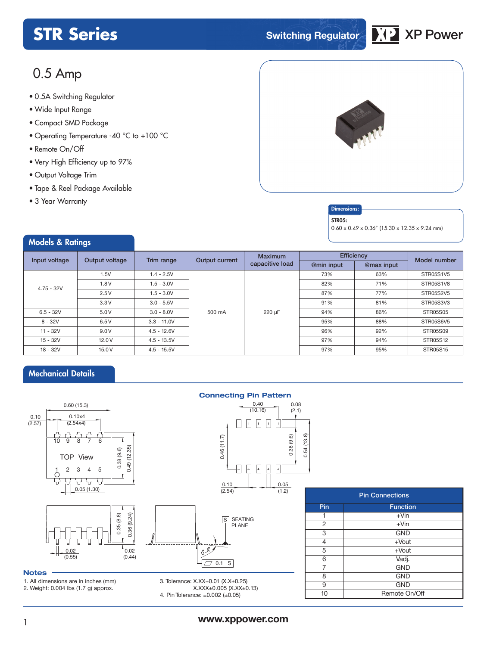

# 0.5 Amp

- **xxx Series** 0.5A Switching Regulator
- Wide Input Range
- Compact SMD Package
- Operating Temperature -40 °C to +100 °C
- Remote On/Off
- Very High Efficiency up to 97%
- Output Voltage Trim
- Tape & Reel Package Available
- 3 Year Warranty

Models & Ratings



## **Dimensions**

### STR<sub>05</sub>:

0.60 x 0.49 x 0.36" (15.30 x 12.35 x 9.24 mm)

| <b>THE REAL PROPERTY OF STREET</b> |                                                                                              |               |                 |                |            |              |                  |
|------------------------------------|----------------------------------------------------------------------------------------------|---------------|-----------------|----------------|------------|--------------|------------------|
| Input voltage                      | Output voltage                                                                               | Trim range    | Output current  | <b>Maximum</b> | Efficiency | Model number |                  |
|                                    | 1.5V<br>$1.4 - 2.5V$<br>1.8V<br>$1.5 - 3.0V$<br>2.5V<br>$1.5 - 3.0V$<br>3.3V<br>$3.0 - 5.5V$ |               | capacitive load | @min input     | @max input |              |                  |
|                                    |                                                                                              |               |                 |                | 73%        | 63%          | <b>STR05S1V5</b> |
| $4.75 - 32V$                       |                                                                                              |               |                 |                | 82%        | 71%          | STR05S1V8        |
|                                    |                                                                                              |               |                 |                | 87%        | 77%          |                  |
|                                    |                                                                                              |               |                 |                | 91%        | 81%          | STR05S3V3        |
| $6.5 - 32V$                        | 5.0V                                                                                         | $3.0 - 8.0V$  | 500 mA          | 220 µF         | 94%        | 86%          | <b>STR05S05</b>  |
| $8 - 32V$                          | 6.5V                                                                                         | $3.3 - 11.0V$ |                 |                | 95%        | 88%          | STR05S6V5        |
| $11 - 32V$                         | 9.0V                                                                                         | $4.5 - 12.6V$ |                 |                | 96%        | 92%          | <b>STR05S09</b>  |
| $15 - 32V$                         | 12.0V                                                                                        | $4.5 - 13.5V$ |                 |                | 97%        | 94%          | <b>STR05S12</b>  |
| $18 - 32V$                         | 15.0V                                                                                        | $4.5 - 15.5V$ |                 |                | 97%        | 95%          | <b>STR05S15</b>  |

## Mechanical Details



### **Notes**

1. All dimensions are in inches (mm)

2. Weight: 0.004 lbs (1.7 g) approx.

3. Tolerance: X.XX±0.01 (X.X±0.25) X.XXX±0.005 (X.XX±0.13) 4. Pin Tolerance: ±0.002 (±0.05)

|     | <b>Pin Connections</b> |  |  |  |  |  |  |  |  |  |
|-----|------------------------|--|--|--|--|--|--|--|--|--|
| Pin | <b>Function</b>        |  |  |  |  |  |  |  |  |  |
|     | $+V$ in                |  |  |  |  |  |  |  |  |  |
| 2   | $+V$ in                |  |  |  |  |  |  |  |  |  |
| 3   | <b>GND</b>             |  |  |  |  |  |  |  |  |  |
| 4   | $+$ Vout               |  |  |  |  |  |  |  |  |  |
| 5   | $+$ Vout               |  |  |  |  |  |  |  |  |  |
| 6   | Vadj.                  |  |  |  |  |  |  |  |  |  |
| 7   | <b>GND</b>             |  |  |  |  |  |  |  |  |  |
| 8   | <b>GND</b>             |  |  |  |  |  |  |  |  |  |
| 9   | <b>GND</b>             |  |  |  |  |  |  |  |  |  |
| 10  | Remote On/Off          |  |  |  |  |  |  |  |  |  |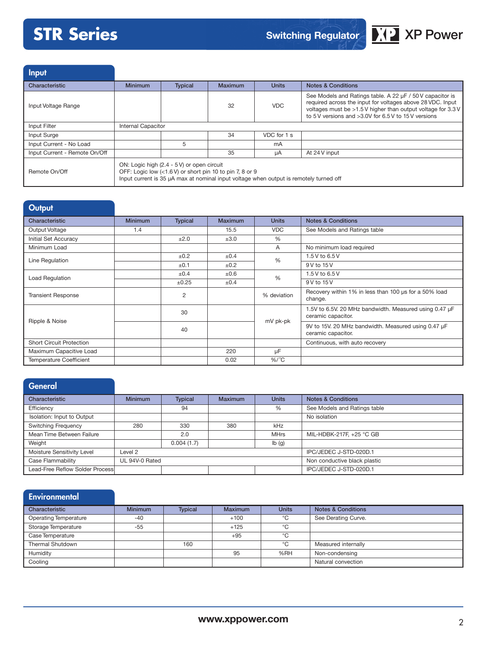

Input

| -----                         |                    |                                                                                                                                                                                                  |                |              |                                                                                                                                                                                                                                                 |
|-------------------------------|--------------------|--------------------------------------------------------------------------------------------------------------------------------------------------------------------------------------------------|----------------|--------------|-------------------------------------------------------------------------------------------------------------------------------------------------------------------------------------------------------------------------------------------------|
| Characteristic                | <b>Minimum</b>     | <b>Typical</b>                                                                                                                                                                                   | <b>Maximum</b> | <b>Units</b> | <b>Notes &amp; Conditions</b>                                                                                                                                                                                                                   |
| Input Voltage Range           |                    |                                                                                                                                                                                                  | 32             | <b>VDC</b>   | See Models and Ratings table. A 22 µF / 50 V capacitor is<br>required across the input for voltages above 28 VDC. Input<br>voltages must be >1.5 V higher than output voltage for 3.3 V<br>to 5 V versions and >3.0V for 6.5 V to 15 V versions |
| Input Filter                  | Internal Capacitor |                                                                                                                                                                                                  |                |              |                                                                                                                                                                                                                                                 |
| Input Surge                   |                    |                                                                                                                                                                                                  | 34             | VDC for 1 s  |                                                                                                                                                                                                                                                 |
| Input Current - No Load       |                    | 5                                                                                                                                                                                                |                | mA           |                                                                                                                                                                                                                                                 |
| Input Current - Remote On/Off |                    |                                                                                                                                                                                                  | 35             | uA           | At 24 V input                                                                                                                                                                                                                                   |
| Remote On/Off                 |                    | ON: Logic high (2.4 - 5 V) or open circuit<br>OFF: Logic low (<1.6 V) or short pin 10 to pin 7, 8 or 9<br>Input current is 35 µA max at nominal input voltage when output is remotely turned off |                |              |                                                                                                                                                                                                                                                 |

| <b>Output</b>                   |                |                |                |               |                                                                              |
|---------------------------------|----------------|----------------|----------------|---------------|------------------------------------------------------------------------------|
| Characteristic                  | <b>Minimum</b> | <b>Typical</b> | <b>Maximum</b> | <b>Units</b>  | <b>Notes &amp; Conditions</b>                                                |
| Output Voltage                  | 1.4            |                | 15.5           | <b>VDC</b>    | See Models and Ratings table                                                 |
| Initial Set Accuracy            |                | ±2.0           | ±3.0           | %             |                                                                              |
| Minimum Load                    |                |                |                | A             | No minimum load required                                                     |
| Line Regulation                 |                | ±0.2           | ±0.4           | $\frac{0}{6}$ | 1.5 V to 6.5 V                                                               |
|                                 |                | ±0.1           | ±0.2           |               | 9 V to 15 V                                                                  |
| Load Regulation                 |                | ±0.4           | $\pm 0.6$      | $\frac{0}{6}$ | 1.5 V to 6.5 V                                                               |
|                                 |                | ±0.25          | ±0.4           |               | 9 V to 15 V                                                                  |
| <b>Transient Response</b>       |                | 2              |                | % deviation   | Recovery within 1% in less than 100 us for a 50% load<br>change.             |
| Ripple & Noise                  |                | 30             |                | mV pk-pk      | 1.5V to 6.5V, 20 MHz bandwidth. Measured using 0.47 µF<br>ceramic capacitor. |
|                                 |                | 40             |                |               | 9V to 15V. 20 MHz bandwidth. Measured using 0.47 µF<br>ceramic capacitor.    |
| <b>Short Circuit Protection</b> |                |                |                |               | Continuous, with auto recovery                                               |
| Maximum Capacitive Load         |                |                | 220            | μF            |                                                                              |
| <b>Temperature Coefficient</b>  |                |                | 0.02           | $%$ / $°C$    |                                                                              |

# **General**

| Characteristic                  | <b>Minimum</b> | <b>Typical</b><br><b>Maximum</b> |     | <b>Units</b>              | <b>Notes &amp; Conditions</b> |
|---------------------------------|----------------|----------------------------------|-----|---------------------------|-------------------------------|
| Efficiency                      |                | 94                               |     | %                         | See Models and Ratings table  |
| Isolation: Input to Output      |                |                                  |     |                           | No isolation                  |
| <b>Switching Frequency</b>      | 280            | 330                              | 380 | kHz                       |                               |
| Mean Time Between Failure       |                | 2.0                              |     | <b>MHrs</b>               | MIL-HDBK-217F, +25 °C GB      |
| Weight                          |                | 0.004(1.7)                       |     | $\mathsf{lb}(\mathsf{g})$ |                               |
| Moisture Sensitivity Level      | Level 2        |                                  |     |                           | IPC/JEDEC J-STD-020D.1        |
| Case Flammability               | UL 94V-0 Rated |                                  |     |                           | Non conductive black plastic  |
| Lead-Free Reflow Solder Process |                |                                  |     |                           | IPC/JEDEC J-STD-020D.1        |

| Environmental                |                |                |                |              |                               |
|------------------------------|----------------|----------------|----------------|--------------|-------------------------------|
| Characteristic               | <b>Minimum</b> | <b>Typical</b> | <b>Maximum</b> | <b>Units</b> | <b>Notes &amp; Conditions</b> |
| <b>Operating Temperature</b> | $-40$          |                | $+100$         | °C           | See Derating Curve.           |
| Storage Temperature          | $-55$          |                | $+125$         | °C           |                               |
| Case Temperature             |                |                | $+95$          | °C           |                               |
| Thermal Shutdown             |                | 160            |                | °C           | Measured internally           |
| Humidity                     |                |                | 95             | %RH          | Non-condensing                |
| Cooling                      |                |                |                |              | Natural convection            |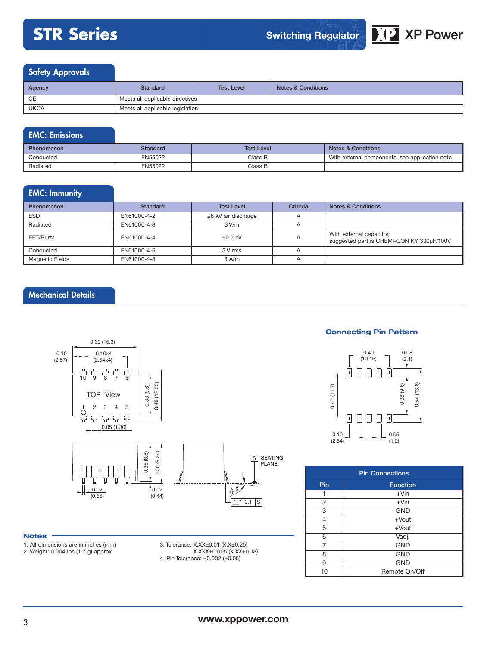

# Safety Approvals

| Agency      | Standard | <b>Test Level</b>                | <b>Notes &amp; Conditions</b> |  |  |  |  |  |  |  |  |
|-------------|----------|----------------------------------|-------------------------------|--|--|--|--|--|--|--|--|
| CE          |          | Meets all applicable directives  |                               |  |  |  |  |  |  |  |  |
| <b>UKCA</b> |          | Meets all applicable legislation |                               |  |  |  |  |  |  |  |  |

# EMC: Emissions

| <b>Phenomenon</b> | Standard | <b>Test Level</b> | <b>Notes &amp; Conditions</b>                  |  |  |  |
|-------------------|----------|-------------------|------------------------------------------------|--|--|--|
| Conducted         | EN55022  | Class B           | With external components, see application note |  |  |  |
| Radiated          | EN55022  | Class B           |                                                |  |  |  |

# EMC: Immunity

| <b>Phenomenon</b> | <b>Standard</b> | <b>Test Level</b>     | Criteria | <b>Notes &amp; Conditions</b>                                         |
|-------------------|-----------------|-----------------------|----------|-----------------------------------------------------------------------|
| ESD               | EN61000-4-2     | $±8$ kV air discharge |          |                                                                       |
| Radiated          | EN61000-4-3     | 3 V/m                 |          |                                                                       |
| EFT/Burst         | EN61000-4-4     | $\pm 0.5$ kV          | A        | With external capacitor,<br>suggested part is CHEMI-CON KY 330µF/100V |
| Conducted         | EN61000-4-6     | 3 V rms               |          |                                                                       |
| Magnetic Fields   | EN61000-4-8     | $3$ A/m               |          |                                                                       |

# Mechanical Details



### **Notes**

- 1. All dimensions are in inches (mm) 2. Weight: 0.004 lbs (1.7 g) approx.
- 3. Tolerance: X.XX±0.01 (X.X±0.25) X.XXX±0.005 (X.XX±0.13) 4. Pin Tolerance: ±0.002 (±0.05)

## **Connecting Pin Pattern**



| <b>Pin Connections</b> |                 |  |  |  |  |  |  |  |  |  |
|------------------------|-----------------|--|--|--|--|--|--|--|--|--|
| Pin                    | <b>Function</b> |  |  |  |  |  |  |  |  |  |
| 1                      | $+V$ in         |  |  |  |  |  |  |  |  |  |
| 2                      | $+V$ in         |  |  |  |  |  |  |  |  |  |
| 3                      | <b>GND</b>      |  |  |  |  |  |  |  |  |  |
| 4                      | $+$ Vout        |  |  |  |  |  |  |  |  |  |
| 5                      | $+$ Vout        |  |  |  |  |  |  |  |  |  |
| 6                      | Vadj.           |  |  |  |  |  |  |  |  |  |
|                        | <b>GND</b>      |  |  |  |  |  |  |  |  |  |
| 8                      | <b>GND</b>      |  |  |  |  |  |  |  |  |  |
| 9                      | <b>GND</b>      |  |  |  |  |  |  |  |  |  |
| 10                     | Remote On/Off   |  |  |  |  |  |  |  |  |  |